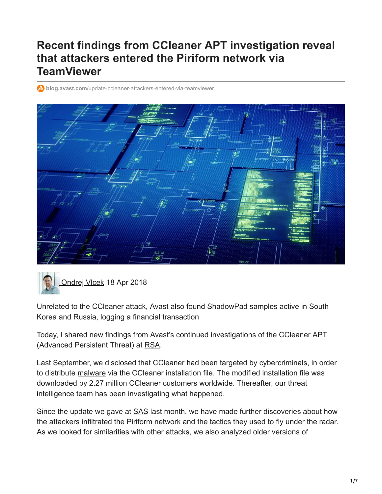# **Recent findings from CCleaner APT investigation reveal that attackers entered the Piriform network via TeamViewer**

**blog.avast.com**[/update-ccleaner-attackers-entered-via-teamviewer](https://blog.avast.com/update-ccleaner-attackers-entered-via-teamviewer)





Unrelated to the CCleaner attack, Avast also found ShadowPad samples active in South Korea and Russia, logging a financial transaction

Today, I shared new findings from Avast's continued investigations of the CCleaner APT (Advanced Persistent Threat) at [RSA](https://www.rsaconference.com/events/us18/agenda/sessions/10593-ccleaner-apt-attack-a-technical-look-inside).

Last September, we [disclosed](https://blog.avast.com/progress-on-ccleaner-investigation) that CCleaner had been targeted by cybercriminals, in order to distribute [malware](https://www.avast.com/c-malware) via the CCleaner installation file. The modified installation file was downloaded by 2.27 million CCleaner customers worldwide. Thereafter, our threat intelligence team has been investigating what happened.

Since the update we gave at **SAS** last month, we have made further discoveries about how the attackers infiltrated the Piriform network and the tactics they used to fly under the radar. As we looked for similarities with other attacks, we also analyzed older versions of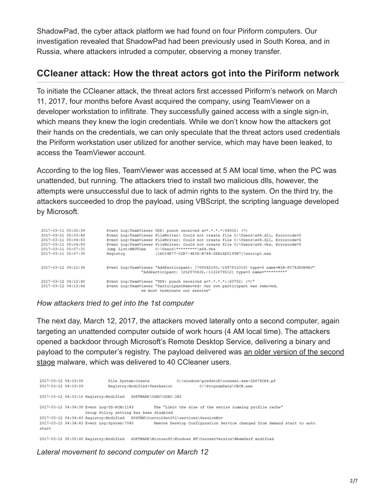ShadowPad, the cyber attack platform we had found on four Piriform computers. Our investigation revealed that ShadowPad had been previously used in South Korea, and in Russia, where attackers intruded a computer, observing a money transfer.

## **CCleaner attack: How the threat actors got into the Piriform network**

To initiate the CCleaner attack, the threat actors first accessed Piriform's network on March 11, 2017, four months before Avast acquired the company, using TeamViewer on a developer workstation to infiltrate. They successfully gained access with a single sign-in, which means they knew the login credentials. While we don't know how the attackers got their hands on the credentials, we can only speculate that the threat actors used credentials the Piriform workstation user utilized for another service, which may have been leaked, to access the TeamViewer account.

According to the log files, TeamViewer was accessed at 5 AM local time, when the PC was unattended, but running. The attackers tried to install two malicious dlls, however, the attempts were unsuccessful due to lack of admin rights to the system. On the third try, the attackers succeeded to drop the payload, using VBScript, the scripting language developed by Microsoft.

| 2017-03-11 05:02:39<br>2017-03-11 05:03:48<br>2017-03-11 05:04:03<br>2017-03-11 05:04:50<br>2017-03-11 05:07:31<br>2017-03-11 05:07:38 | Jump List:MRUTime<br>Registry | Event Log:TeamViewer UDP: punch received a=*.*.*.*:64002: (*)<br>Event Log:TeamViewer FileWriter: Could not create file C:\Users\x64.dll, Errorcode=5<br>Event Log:TeamViewer FileWriter: Could not create file C:\Users\x64.dll, Errorcode=5<br>Event Log:TeamViewer FileWriter: Could not create file C:\Users\x64.vbs, Errorcode=5<br>C:\Users\********\x64.vbs<br>(1AC14E77-02E7-4E5D-B744-2EB1AE5198B7)\wscript.exe |
|----------------------------------------------------------------------------------------------------------------------------------------|-------------------------------|--------------------------------------------------------------------------------------------------------------------------------------------------------------------------------------------------------------------------------------------------------------------------------------------------------------------------------------------------------------------------------------------------------------------------|
| 2017-03-12 04:12:36                                                                                                                    |                               | Event Log:TeamViewer "AddParticipant: [705042190,-1697811015] type=6 name=WIN-FC74JD6H4RJ"<br>"AddParticipant: [252978432,-1122679512] type=3 name=**********                                                                                                                                                                                                                                                            |
| 2017-03-12 04:12:40<br>2017-03-12 04:13:44                                                                                             |                               | Event Log:TeamViewer "UDP: punch received a=*.*.*.*::63752: (*)"<br>Event Log:TeamViewer "ParticipantRemoved: Our own participant was removed,<br>we must terminate our session"                                                                                                                                                                                                                                         |

### *How attackers tried to get into the 1st computer*

The next day, March 12, 2017, the attackers moved laterally onto a second computer, again targeting an unattended computer outside of work hours (4 AM local time). The attackers opened a backdoor through Microsoft's Remote Desktop Service, delivering a binary and [payload to the computer's registry. The payload delivered was an older version of the second](https://blog.avast.com/progress-on-ccleaner-investigation) stage malware, which was delivered to 40 CCleaner users.

```
2017-03-12 04:19:08
                            File System:Create
                                                        C:\windows\prefetch\consent.exe-2D674CE4.pf
2017-03-12 04:19:09
                           Registry:Modified:UserAssist
                                                                  C:\ProgramData\CBCB.exe
2017-03-12 04:33:18 Registry:Modified SOFTWARE\ODBC\ODBC.INI
2017-03-12 04:34:38 Event Log:TS-RCM:1143
                                               The "Limit the size of the entire roaming profile cache"
                  Group Policy setting has been disabled
2017-03-12 04:34:43 Registry:Modified SYSTEM\ControlSet001\services\SessionEnv
2017-03-12 04:34:43 Event Log:System:7040 Remote Desktop Configuration Service changed from demand start to auto
start
2017-03-12 08:05:48 Registry:Modified SOFTWARE\Microsoft\Windows NT\CurrentVersion\WhemPerf modified
```
### *Lateral movement to second computer on March 12*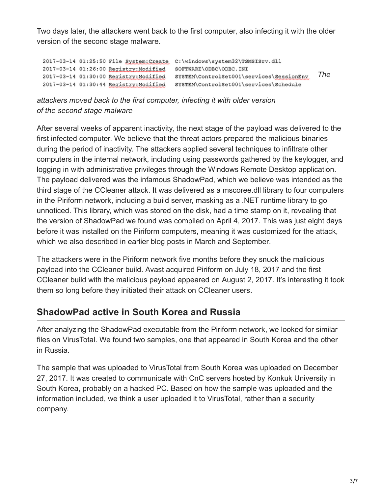Two days later, the attackers went back to the first computer, also infecting it with the older version of the second stage malware.

```
2017-03-14 01:25:50 File System; Create C:\windows\system32\TSMSISrv.dll
2017-03-14 01:26:00 Registry:Modified SOFTWARE\ODBC\ODBC.INI
                                                                                 The
2017-03-14 01:30:00 Registry:Modified SYSTEM\ControlSet001\services\SessionEnv
2017-03-14 01:30:44 Registry:Modified SYSTEM\ControlSet001\services\Schedule
```
*attackers moved back to the first computer, infecting it with older version of the second stage malware*

After several weeks of apparent inactivity, the next stage of the payload was delivered to the first infected computer. We believe that the threat actors prepared the malicious binaries during the period of inactivity. The attackers applied several techniques to infiltrate other computers in the internal network, including using passwords gathered by the keylogger, and logging in with administrative privileges through the Windows Remote Desktop application. The payload delivered was the infamous ShadowPad, which we believe was intended as the third stage of the CCleaner attack. It was delivered as a mscoree.dll library to four computers in the Piriform network, including a build server, masking as a .NET runtime library to go unnoticed. This library, which was stored on the disk, had a time stamp on it, revealing that the version of ShadowPad we found was compiled on April 4, 2017. This was just eight days before it was installed on the Piriform computers, meaning it was customized for the attack, which we also described in earlier blog posts in [March](https://blog.avast.com/new-investigations-in-ccleaner-incident-point-to-a-possible-third-stage-that-had-keylogger-capacities) and [September](https://blog.avast.com/additional-information-regarding-the-recent-ccleaner-apt-security-incident).

The attackers were in the Piriform network five months before they snuck the malicious payload into the CCleaner build. Avast acquired Piriform on July 18, 2017 and the first CCleaner build with the malicious payload appeared on August 2, 2017. It's interesting it took them so long before they initiated their attack on CCleaner users.

## **ShadowPad active in South Korea and Russia**

After analyzing the ShadowPad executable from the Piriform network, we looked for similar files on VirusTotal. We found two samples, one that appeared in South Korea and the other in Russia.

The sample that was uploaded to VirusTotal from South Korea was uploaded on December 27, 2017. It was created to communicate with CnC servers hosted by Konkuk University in South Korea, probably on a hacked PC. Based on how the sample was uploaded and the information included, we think a user uploaded it to VirusTotal, rather than a security company.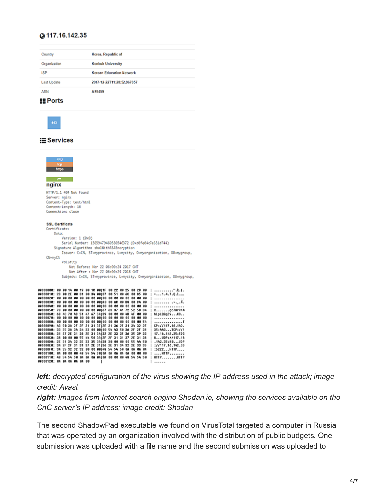### @117.16.142.35

| Country                         | Korea, Republic of              |
|---------------------------------|---------------------------------|
| Organization                    | <b>Konkuk University</b>        |
| <b>ISP</b>                      | <b>Korean Education Network</b> |
| <b>Last Update</b>              | 2017-12-22T11:28:52.967857      |
| <b>ASN</b>                      | AS9459                          |
| ____<br>the control of the con- |                                 |

#### **ER** Ports



#### $\equiv$  Services



|                                                           |  |  |  |  |  |  |  |  | !                 |
|-----------------------------------------------------------|--|--|--|--|--|--|--|--|-------------------|
| 00000090: 43 50 3A 2F 2F 31 31 37 2E 31 36 2E 31 34 32 2E |  |  |  |  |  |  |  |  | [CF://117.16.142. |
| 00000000: 33 35 38 34 34 33 00 00100 54 43 50 38 2F 2F 31 |  |  |  |  |  |  |  |  | 35:443TCP://1     |
| 00000080: 31 37 2E 31 36 2E 31 34 32 2E 33 35 3A 35 39 33 |  |  |  |  |  |  |  |  | 17.16.142.35:593  |
| 000000C0: 38 00 00 00 55 44 50 3A12F 2F 31 31 37 2E 31 36 |  |  |  |  |  |  |  |  | $18UP$ P://117.16 |
| 00000000: 2E 31 34 32 2E 33 35 3A138 30 00 00 00 55 44 50 |  |  |  |  |  |  |  |  | .142.35:80UDP     |
| 000000E0: 3A 2F 2F 31 31 37 2E 31 36 2E 31 34 32 2E 33 35 |  |  |  |  |  |  |  |  | ://117.16.142.35  |
| 000000F0: 3A 35 32 32 32 00 00 00 48 54 54 50 0A 0A 0A 0A |  |  |  |  |  |  |  |  | :5222HTTP         |
| 00000100: 0A 00 00 00 48 54 54 50 0A 0A 0A 0A 0A 00 00 00 |  |  |  |  |  |  |  |  | $\ldots$ . HTTP   |
| 00000110: 48 54 54 50 00 00 00 00 00 00 00 00 48 54 54 50 |  |  |  |  |  |  |  |  | HTTPHTTP          |
| 88888128: 8A 8A 8A 8A 8A 88                               |  |  |  |  |  |  |  |  |                   |
|                                                           |  |  |  |  |  |  |  |  |                   |

*left: decrypted configuration of the virus showing the IP address used in the attack; image credit: Avast*

*right: Images from Internet search engine Shodan.io, showing the services available on the CnC server's IP address; image credit: Shodan*

The second ShadowPad executable we found on VirusTotal targeted a computer in Russia that was operated by an organization involved with the distribution of public budgets. One submission was uploaded with a file name and the second submission was uploaded to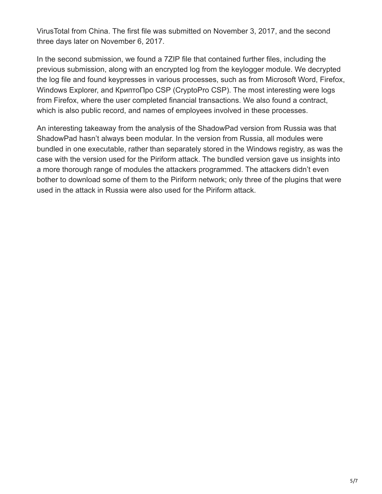VirusTotal from China. The first file was submitted on November 3, 2017, and the second three days later on November 6, 2017.

In the second submission, we found a 7ZIP file that contained further files, including the previous submission, along with an encrypted log from the keylogger module. We decrypted the log file and found keypresses in various processes, such as from Microsoft Word, Firefox, Windows Explorer, and КриптоПро CSP (CryptoPro CSP). The most interesting were logs from Firefox, where the user completed financial transactions. We also found a contract, which is also public record, and names of employees involved in these processes.

An interesting takeaway from the analysis of the ShadowPad version from Russia was that ShadowPad hasn't always been modular. In the version from Russia, all modules were bundled in one executable, rather than separately stored in the Windows registry, as was the case with the version used for the Piriform attack. The bundled version gave us insights into a more thorough range of modules the attackers programmed. The attackers didn't even bother to download some of them to the Piriform network; only three of the plugins that were used in the attack in Russia were also used for the Piriform attack.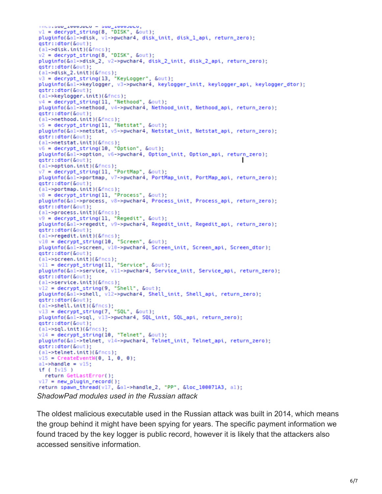```
v1 = decrypt_string(8, "DISK", &out);
pluginfo(&al->disk, vl->pwchar4, disk_init, disk_1_api, return_zero);
qstr::dtor(&out);
(al->disk.init)(&fncs);<br>v2 = decrypt_string(8, "DISK", &out);
pluginfo(&al->disk_2, v2->pwchar4, disk_2_init, disk_2_api, return_zero);
qstr::dtor(&out);
(al->disk_2.init)(&fncs);<br>v3 = decrypt_string(13, "KeyLogger", &out);<br>pluginfo(&al->keylogger, v3->pwchar4, keylogger_init, keylogger_api, keylogger_dtor);<br>ostr::dtor(&out);
qstr::dtor(&out);
(al->keylogger.init)(&fncs);
v4 = decrypt_string(11, "Nethood", &out);<br>pluginfo(&al->nethood, v4->pwchar4, Nethood_init, Nethood_api, return_zero);
qstr::dtor(&out);
(al->nethood.init)(&fncs);
v5 = decrypt_string(11, "Netstat", &out);<br>pluginfo(&al->netstat, v5->pwchar4, Netstat_init, Netstat_api, return_zero);
qstr::dtor(&out);
(al->netstat.init)(&fncs);
v6 = decrypt_string(10, "Option", &out);pluginfo(&al->option, v6->pwchar4, Option_init, Option_api, return_zero);
qstr::dtor(&out);
(al->option.init)(&fncs);
v7 = \text{decrypt}-string(11, "PortMap", &out);
pluginfo(&al->portmap, v7->pwchar4, PortMap_init, PortMap_api, return_zero);
qstr::dtor(&out);
(al ->portmap.init)(&fncs);
v8 = decrypt_string(11, "Process", &out);<br>pluginfo(&al->process, v8->pwchar4, Process_init, Process_api, return_zero);
qstr::dtor(&out);
(al->process.init)(&fncs);
v9 = decrypt_string(11, "Regedit", &out);
pluginfo(&al->regedit, v9->pwchar4, Regedit_init, Regedit_api, return_zero);
qstr::dtor(&out);
(al->regedit.init)(&fncs);
v10 = decrypt_string(10, "Screen", & out);pluginfo(&al->screen, v10->pwchar4, Screen_init, Screen_api, Screen_dtor);
qstr::dtor(&out);
(al->screen.init)(&fncs);<br>v11 = decrypt_string(11, "Service", &out);
pluginfo(&al->service, vll->pwchar4, Service_init, Service_api, return_zero);
gstr::dtor(&out);
(al-> service.int)(&fncs);v12 = decrypt\_string(9, "Shell", & out);pluginfo(&al->shell, v12->pwchar4, Shell_init, Shell_api, return_zero);
qstr::dtor(&out);
(al->shell.init)(&fncs);<br>v13 = decrypt_string(7, "SQL", &out);
pluginfo(&al->sql, v13->pwchar4, SQL_init, SQL_api, return_zero);
qstr::dtor(&out);
(al->sql.int)(&fncs);v14 = decrypt_string(10, "Telnet", South);pluginfo(&al->telnet, v14->pwchar4, Telnet_init, Telnet_api, return_zero);
qstr::dtor(&out);
(al->telnet.init)(&fncs);
v15 = CreateEventW(0, 1, 0, 0);al->handle = v15;
if ( !v15 )
  return GetLastError();
v17 = new\_plugin\_record();
return spawn_thread(v17, &a1->handle_2, "PP", &loc_100071A3, a1);
ShadowPad modules used in the Russian attack
```
The oldest malicious executable used in the Russian attack was built in 2014, which means the group behind it might have been spying for years. The specific payment information we found traced by the key logger is public record, however it is likely that the attackers also accessed sensitive information.